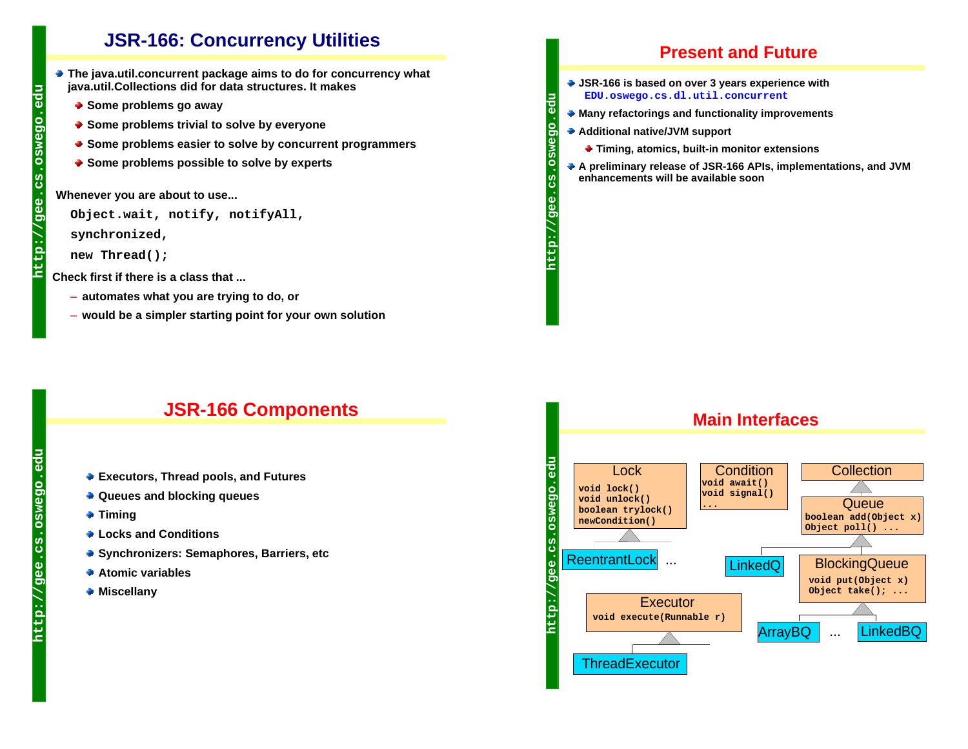## **JSR-166: Concurrency Utilities**

- **The java.util.concurrent package aims to do for concurrency what java.util.Collections did for data structures. It makes**
	- ◆ Some problems go away
	- ◆ Some problems trivial to solve by everyone
	- **Some problems easier to solve by concurrent programmers**
	- ◆ Some problems possible to solve by experts

**Whenever you are about to use...**

```
Object.wait, notify, notifyAll,
```
**synchronized,**

```
new Thread();
```
**Check first if there is a class that ...**

- **automates what you are trying to do, or**
- **would be a simpler starting point for your own solution**

### **Present and Future**

- **JSR-166 is based on over 3 years experience with EDU.oswego.cs.dl.util.concurrent**
- **Many refactorings and functionality improvements**
- **Additional native/JVM support**

**http://gee.cs.oswego.edu**

 $\overline{9}$ 

es<br>C

O

- **Timing, atomics, built-in monitor extensions**
- **A preliminary release of JSR-166 APIs, implementations, and JVM enhancements will be available soon**

## **JSR-166 Components**

- **Executors, Thread pools, and Futures**
- **Queues and blocking queues**
- **Timing**
- **Locks and Conditions**
- **Synchronizers: Semaphores, Barriers, etc**
- **Atomic variables**
- **Miscellany**



edu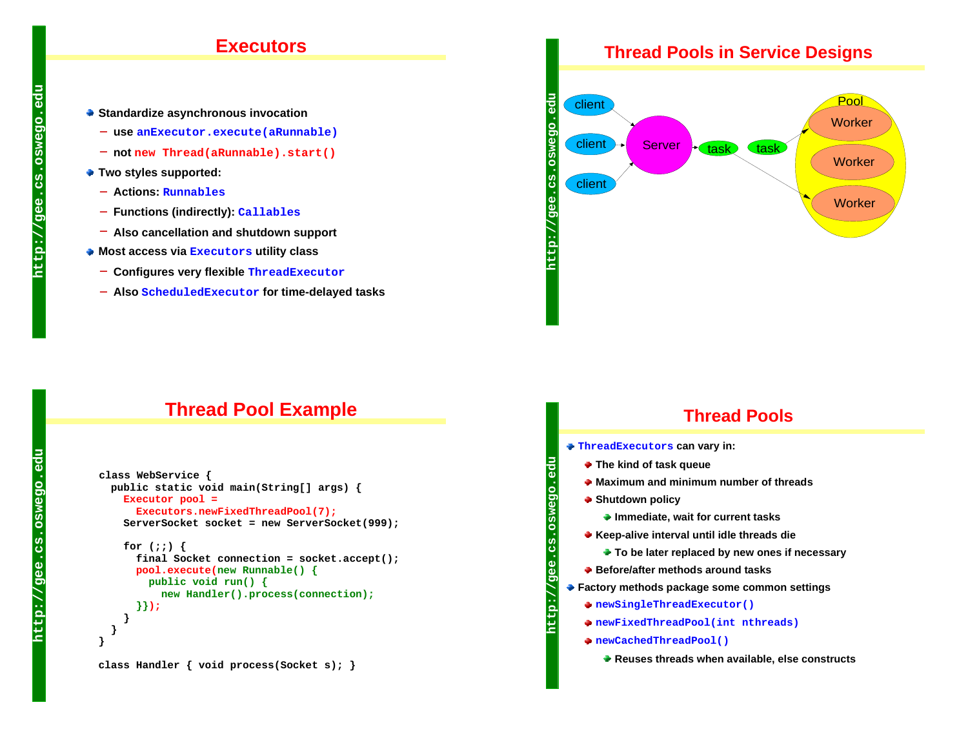#### **Executors**

- **Standardize asynchronous invocation**
	- **use anExecutor.execute(aRunnable)**
	- **not new Thread(aRunnable).start()**
- **Two styles supported:** 
	- **Actions: Runnables**
	- **Functions (indirectly): Callables**
	- **Also cancellation and shutdown support**
- **Most access via Executors utility class**
	- **Configures very flexible ThreadExecutor**
	- **Also ScheduledExecutor for time-delayed tasks**

#### **Thread Pools in Service Designs**



## **Thread Pool Example**

```
 class WebService { 
  public static void main(String[] args) {
    Executor pool =
       Executors.newFixedThreadPool(7);
     ServerSocket socket = new ServerSocket(999);
     for (;;) {
       final Socket connection = socket.accept();
      pool.execute(new Runnable() {
         public void run() {
           new Handler().process(connection);
       }});
 }
 }
}
```
### **Thread Pools**

- **ThreadExecutors can vary in:**
	- **The kind of task queue**
	- **Maximum and minimum number of threads**
	- ◆ Shutdown policy

**http://gee.cs.oswego.edu**

မ္ပ

- **Immediate, wait for current tasks**
- **Keep-alive interval until idle threads die** 
	- **To be later replaced by new ones if necessary**
- **Before/after methods around tasks**
- **Factory methods package some common settings**
	- **newSingleThreadExecutor()**
	- **newFixedThreadPool(int nthreads)**
	- **newCachedThreadPool()**
		- **Reuses threads when available, else constructs**

F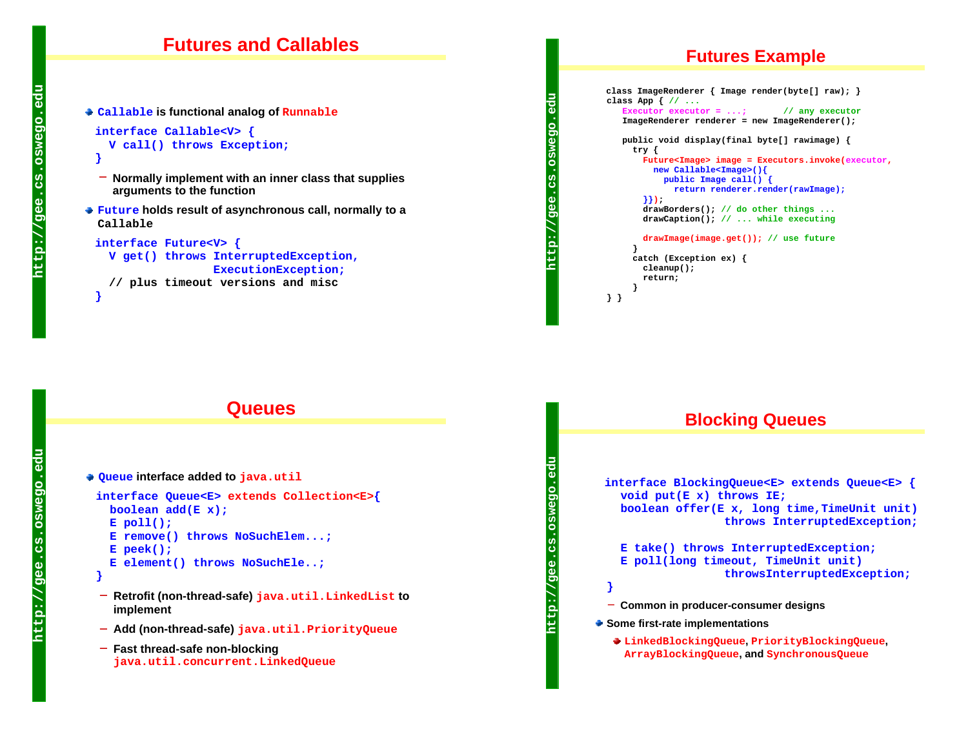#### **Futures and Callables**

**Callable is functional analog of Runnable**

```
 interface Callable<V> {
   V call() throws Exception;
 }
```
- **Normally implement with an inner class that supplies arguments to the function**
- **Future holds result of asynchronous call, normally to a Callable**

```
interface Future<V> {
```
 **V get() throws InterruptedException, ExecutionException; // plus timeout versions and misc**

```
Queues
```

```
Queue interface added to java.util
```

```
 interface Queue<E> extends Collection<E>{
   boolean add(E x);
   E poll();
   E remove() throws NoSuchElem...;
   E peek();
   E element() throws NoSuchEle..;
```

```
 }
```
 **}**

- **Retrofit (non-thread-safe) java.util.LinkedList to implement**
- **Add (non-thread-safe) java.util.PriorityQueue**
- **Fast thread-safe non-blocking java.util.concurrent.LinkedQueue**

### **Futures Example**

```
 class ImageRenderer { Image render(byte[] raw); }
class App { // ...
   Executor executor = ...; // any executor
    ImageRenderer renderer = new ImageRenderer();
    public void display(final byte[] rawimage) {
      try {
       Future<Image> image = Executors.invoke(executor,
         new Callable<Image>(){
            public Image call() { 
              return renderer.render(rawImage); 
        }});
        drawBorders(); // do other things ... 
        drawCaption(); // ... while executing
       drawImage(image.get()); // use future
      }
      catch (Exception ex) { 
       cleanup(); 
        return; 
      }
} }
```
**http://gee.cs.oswego.edu**

 $1/9e$ 

**http://gee.cs.oswego.edu**

 $\overline{9}$ 

http

Ö

#### **Blocking Queues**

**interface BlockingQueue<E> extends Queue<E> { void put(E x) throws IE; boolean offer(E x, long time,TimeUnit unit) throws InterruptedException; E take() throws InterruptedException; E poll(long timeout, TimeUnit unit) throwsInterruptedException; } Common in producer-consumer designs Some first-rate implementations LinkedBlockingQueue, PriorityBlockingQueue, ArrayBlockingQueue, and SynchronousQueue**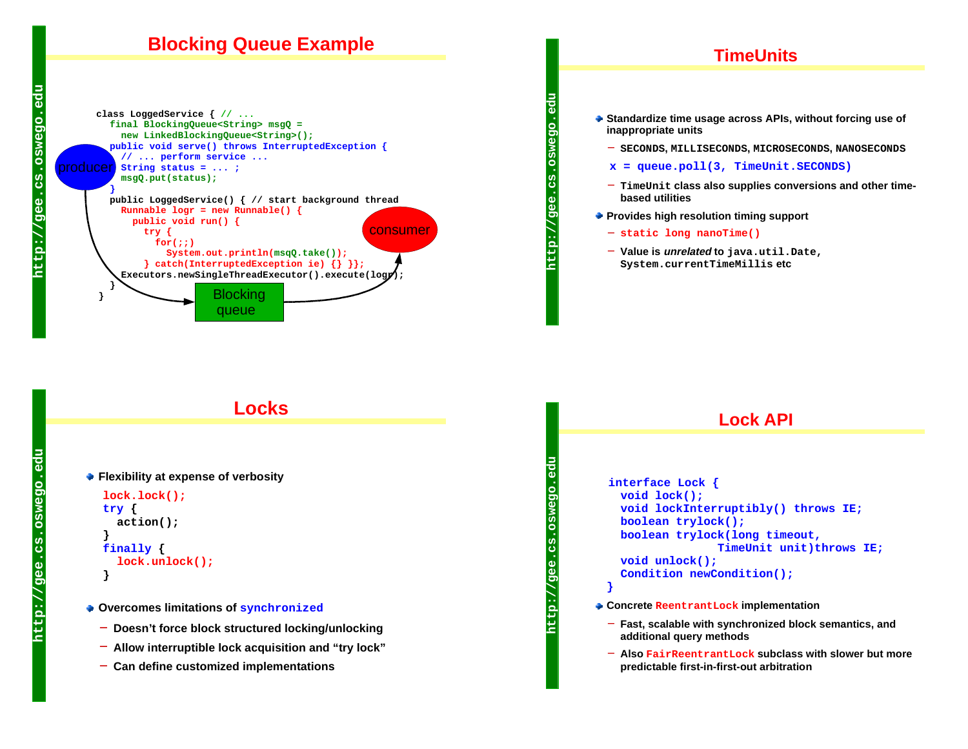## **Blocking Queue Example**



#### **TimeUnits**

**Standardize time usage across APIs, without forcing use of inappropriate units**

**SECONDS, MILLISECONDS, MICROSECONDS, NANOSECONDS**

- **x = queue.poll(3, TimeUnit.SECONDS)**
- **TimeUnit class also supplies conversions and other timebased utilities**
- **Provides high resolution timing support**
	- **static long nanoTime()**
	- **Value is unrelated to java.util.Date, System.currentTimeMillis etc**

#### **Locks**

```
Flexibility at expense of verbosity
   lock.lock();
   try { 
      action(); 
 }
   finally { 
     lock.unlock(); 
    }
```
- **Overcomes limitations of synchronized**
	- **Doesn't force block structured locking/unlocking**
	- **Allow interruptible lock acquisition and "try lock"**
	- **Can define customized implementations**

**}**

**http://gee.cs.oswego.edu**

 $\tilde{\varrho}$ 

**http://gee.cs.oswego.edu**

შ<br>ა

# **Lock API**

#### **interface Lock { void lock(); void lockInterruptibly() throws IE; boolean trylock(); boolean trylock(long timeout, TimeUnit unit)throws IE; void unlock(); Condition newCondition();**

- **Concrete ReentrantLock implementation**
	- **Fast, scalable with synchronized block semantics, and additional query methods**
	- **Also FairReentrantLock subclass with slower but more predictable first-in-first-out arbitration**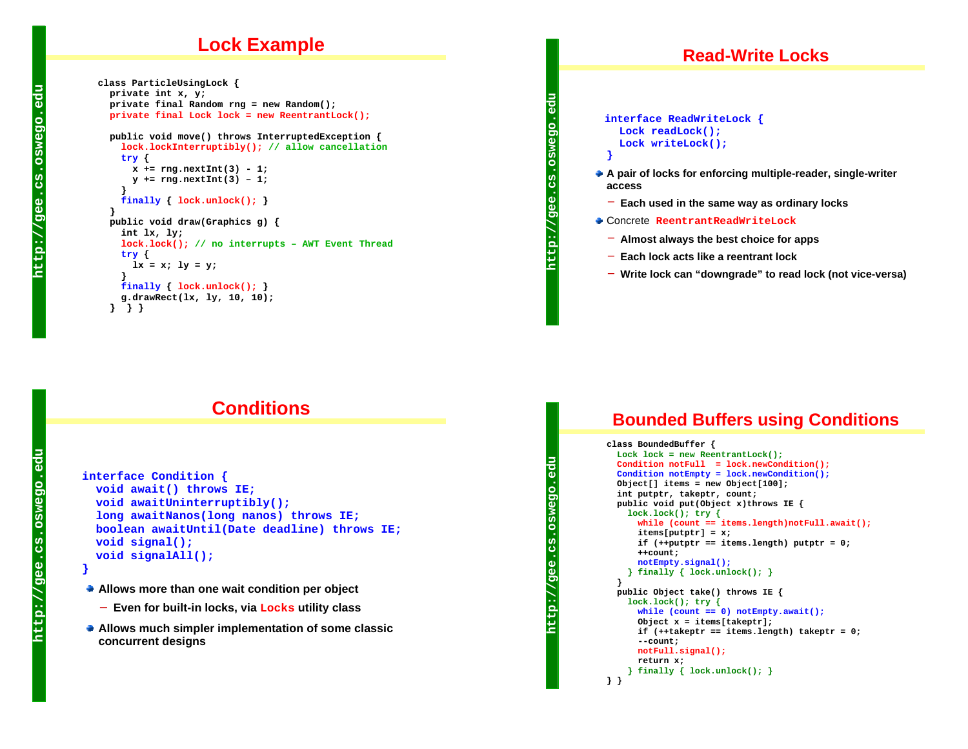### **Lock Example**

```
 class ParticleUsingLock {
   private int x, y;
   private final Random rng = new Random();
  private final Lock lock = new ReentrantLock();
   public void move() throws InterruptedException {
    lock.lockInterruptibly(); // allow cancellation
    try {
      x += rng.nextInt(3) - 1; 
      y += rng.nextInt(3) – 1; 
 }
    finally { lock.unlock(); }
   }
   public void draw(Graphics g) {
    int lx, ly;
    lock.lock(); // no interrupts – AWT Event Thread
    try { 
     lx = x; 1y = y; }
    finally { lock.unlock(); }
     g.drawRect(lx, ly, 10, 10); 
   } } }
```
#### **Read-Write Locks**

**interface ReadWriteLock { Lock readLock(); Lock writeLock(); }**

- **A pair of locks for enforcing multiple-reader, single-writer access**
	- **Each used in the same way as ordinary locks**
- Concrete **ReentrantReadWriteLock**
	- **Almost always the best choice for apps**
	- **Each lock acts like a reentrant lock**
	- **Write lock can "downgrade" to read lock (not vice-versa)**

## **Conditions**

```
interface Condition {
  void await() throws IE;
  void awaitUninterruptibly();
  long awaitNanos(long nanos) throws IE;
  boolean awaitUntil(Date deadline) throws IE;
  void signal();
  void signalAll();
}
```
- 
- **Allows more than one wait condition per object**
	- **Even for built-in locks, via Locks utility class**
- **Allows much simpler implementation of some classic concurrent designs**

```
http://gee.cs.oswego.edu
 Ö
 SP
 \overline{9}e
http:
```
**} }**

**http://gee.cs.oswego.edu**

 $1/9e$ 

€

O

### **Bounded Buffers using Conditions**

```
class BoundedBuffer {
 Lock lock = new ReentrantLock();
 Condition notFull = lock.newCondition();
 Condition notEmpty = lock.newCondition();
  Object[] items = new Object[100];
  int putptr, takeptr, count;
  public void put(Object x)throws IE {
   lock.lock(); try {
     while (count == items.length)notFull.await();
      items[putptr] = x; 
      if (++putptr == items.length) putptr = 0;
      ++count;
     notEmpty.signal();
   } finally { lock.unlock(); }
 }
  public Object take() throws IE {
   lock.lock(); try {
     while (count == 0) notEmpty.await();
      Object x = items[takeptr]; 
      if (++takeptr == items.length) takeptr = 0;
      --count;
     notFull.signal();
      return x; 
   } finally { lock.unlock(); }
```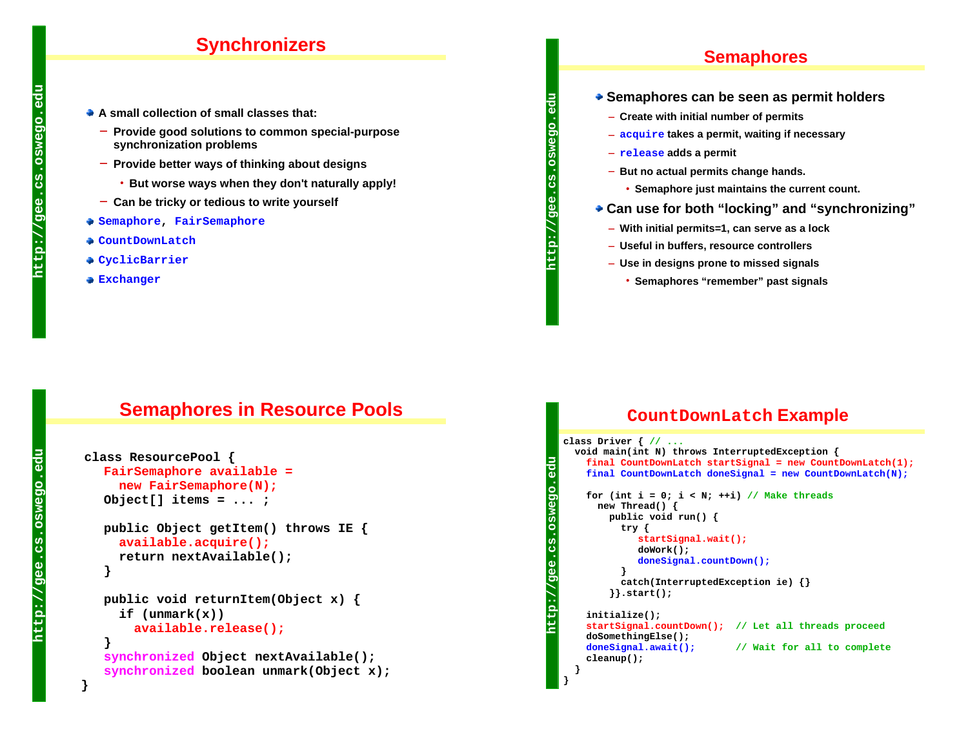## **Synchronizers**

- **A small collection of small classes that:**
	- **Provide good solutions to common special-purpose synchronization problems**
	- **Provide better ways of thinking about designs** 
		- **But worse ways when they don't naturally apply!**
	- **Can be tricky or tedious to write yourself**
- **Semaphore, FairSemaphore**
- **CountDownLatch**
- **CyclicBarrier**
- **Exchanger**

#### **Semaphores**

- **Semaphores can be seen as permit holders**
	- **Create with initial number of permits**
	- **acquire takes a permit, waiting if necessary**
	- **release adds a permit**

**http://gee.cs.oswego.edu**

 $\overline{9}$ e

**}**

- **But no actual permits change hands.**
	- **Semaphore just maintains the current count.**
- **Can use for both "locking" and "synchronizing"**
	- **With initial permits=1, can serve as a lock**
	- **Useful in buffers, resource controllers**
	- **Use in designs prone to missed signals** 
		- **Semaphores "remember" past signals**

### **Semaphores in Resource Pools**

```
 class ResourcePool {
  FairSemaphore available = 
     new FairSemaphore(N);
   Object[] items = ... ;
   public Object getItem() throws IE { 
     available.acquire();
     return nextAvailable();
   }
   public void returnItem(Object x) { 
      if (unmark(x))
      available.release();
 }
  synchronized Object nextAvailable();
  synchronized boolean unmark(Object x);
```
#### **CountDownLatch Example**

```
class Driver { // ...
     void main(int N) throws InterruptedException {
http://gee.cs.oswego.edu
      final CountDownLatch startSignal = new CountDownLatch(1);
       final CountDownLatch doneSignal = new CountDownLatch(N);
       for (int i = 0; i < N; ++i) // Make threads
          new Thread() {
            public void run() {
              try {
                 startSignal.wait();
                 doWork();
                doneSignal.countDown(); 
    }
              catch(InterruptedException ie) {}
            }}.start();
http:
       initialize(); 
       startSignal.countDown(); // Let all threads proceed
       doSomethingElse();
       doneSignal.await(); // Wait for all to complete
        cleanup();
     }
```
**}**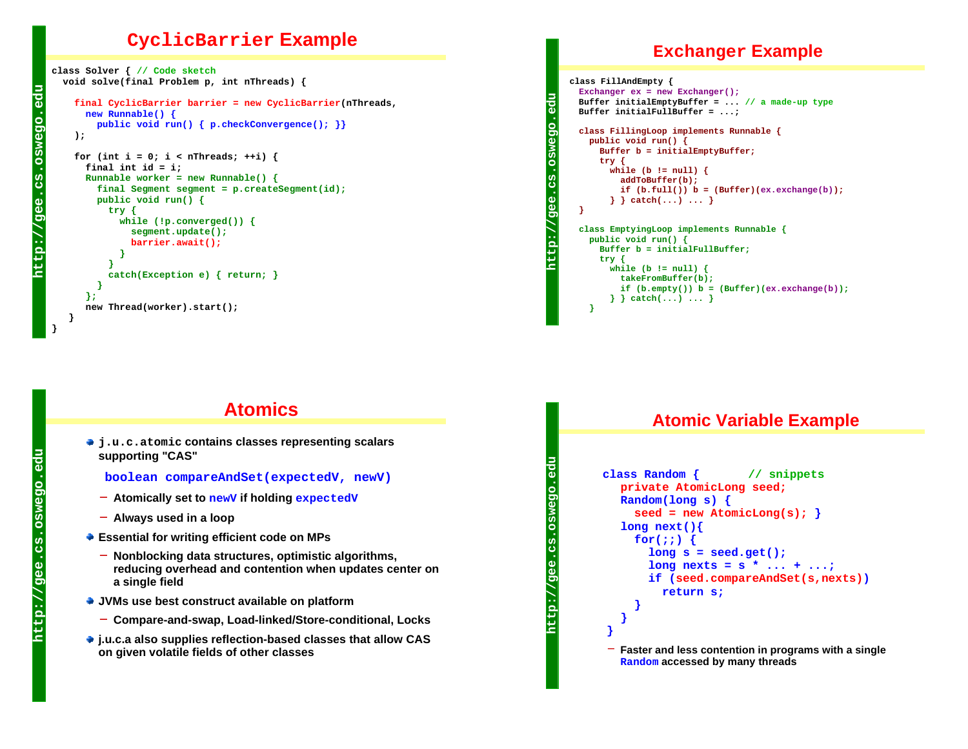#### **CyclicBarrier Example**

```
class Solver { // Code sketch
  void solve(final Problem p, int nThreads) {
   final CyclicBarrier barrier = new CyclicBarrier(nThreads,
      new Runnable() {
        public void run() { p.checkConvergence(); }}
   );
   for (int i = 0; i < nThreads; ++i) {
      final int id = i;
     Runnable worker = new Runnable() {
        final Segment segment = p.createSegment(id);
        public void run() {
          try {
            while (!p.converged()) {
              segment.update();
             barrier.await();
 }
 }
          catch(Exception e) { return; }
        }
      };
      new Thread(worker).start();
```
## **Atomics**

**j.u.c.atomic contains classes representing scalars supporting "CAS"**

**boolean compareAndSet(expectedV, newV)**

- **Atomically set to newV if holding expectedV**
- **Always used in a loop**
- **Essential for writing efficient code on MPs**
	- **Nonblocking data structures, optimistic algorithms, reducing overhead and contention when updates center on a single field**
- **JVMs use best construct available on platform**
	- **Compare-and-swap, Load-linked/Store-conditional, Locks**
- **j.u.c.a also supplies reflection-based classes that allow CAS on given volatile fields of other classes**

#### **Exchanger Example**

```
class FillAndEmpty {
 Exchanger ex = new Exchanger();
  Buffer initialEmptyBuffer = ... // a made-up type
  Buffer initialFullBuffer = ...;
 class FillingLoop implements Runnable {
    public void run() {
      Buffer b = initialEmptyBuffer;
      try {
        while (b != null) {
           addToBuffer(b);
          if (b, full()) b = (Buffer)(ex, exchange(b)); } } catch(...) ... } 
  }
 class EmptyingLoop implements Runnable {
    public void run() {
      Buffer b = initialFullBuffer;
      try {
        while (b != null) {
           takeFromBuffer(b);
           if (b.empty()) b = (Buffer)(ex.exchange(b));
        } } catch(...) ... } 
    }
```
**http://gee.cs.oswego.edu**

္ပြီ

**http://gee.cs.oswego.edu**

http

#### **Atomic Variable Example**

```
 class Random { // snippets
  private AtomicLong seed;
   Random(long s) { 
     seed = new AtomicLong(s); }
   long next(){
     for(i; j) {
        long s = seed.get();
        long nexts = s * ... + ...;
        if (seed.compareAndSet(s,nexts))
          return s;
      }
   } 
}
  Faster and less contention in programs with a single 
  Random accessed by many threads
```
**http://gee.cs.oswego.edu**

 $\frac{1}{2}$ 

윤

OSW  $\Omega$  $\overline{O}$  $\mathbf{0}$ 

> **} }**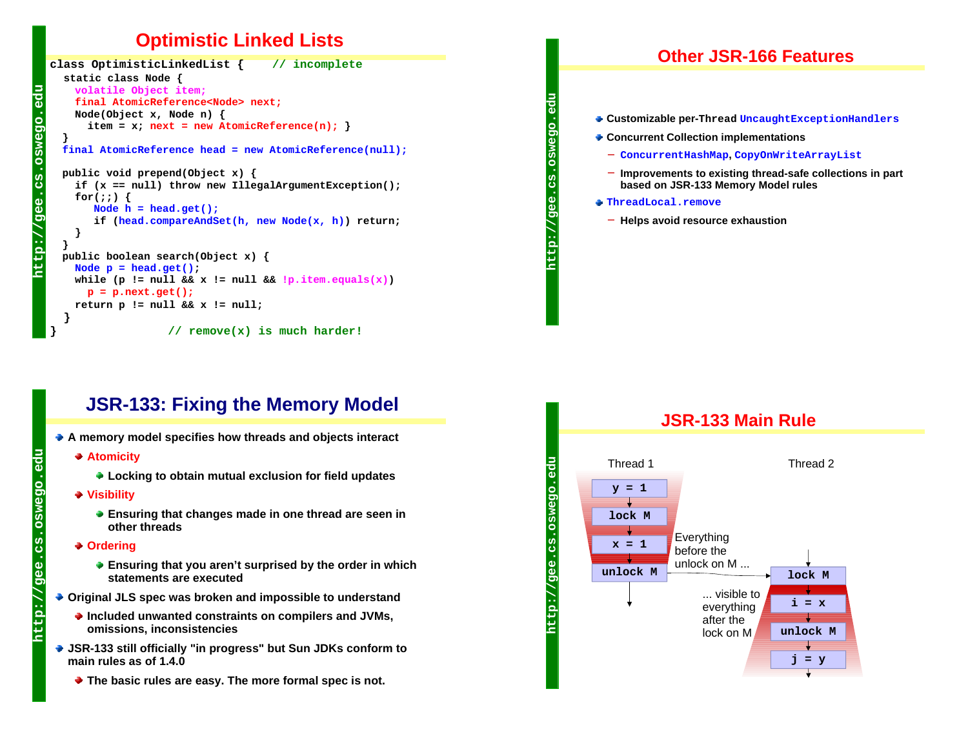## **Optimistic Linked Lists**

```
class OptimisticLinkedList { // incomplete
  static class Node {
    volatile Object item;
    final AtomicReference<Node> next;
     Node(Object x, Node n) { 
      item = x; next = new AtomicReference(n); }
  final AtomicReference head = new AtomicReference(null);
   public void prepend(Object x) {
     if (x == null) throw new IllegalArgumentException();
     for(;;) {
       Node h = head.get();
        if (head.compareAndSet(h, new Node(x, h)) return; 
 }
   }
  public boolean search(Object x) {
    Node p = head.get();
    while (p := null \& x := null \& y \cdot p \cdot \text{item}.equals(x))p = p.next.get();
     return p != null && x != null;
 } 
                   } // remove(x) is much harder!
```
#### **Other JSR-166 Features**

- **Customizable per-Thread UncaughtExceptionHandlers**
- **Concurrent Collection implementations**
	- **ConcurrentHashMap, CopyOnWriteArrayList**
	- **Improvements to existing thread-safe collections in part based on JSR-133 Memory Model rules**
- **ThreadLocal.remove**

**http://gee.cs.oswego.edu**

 $\sqrt{a}$ 

**Helps avoid resource exhaustion**

## **JSR-133: Fixing the Memory Model**

- **A memory model specifies how threads and objects interact**
	- **Atomicity**

**http://gee.cs.oswego.edu**

م<br>تا

 $\circ$  $\Omega$  $\overline{O}$ 

- **Locking to obtain mutual exclusion for field updates**
- **Visibility**
	- **Ensuring that changes made in one thread are seen in other threads**
- **Ordering**

**http://gee.cs.oswego.edu**

gee.

<u>ttp:</u> Ŀ

**g** 

**OSW** 

- **Ensuring that you aren't surprised by the order in which statements are executed**
- **Original JLS spec was broken and impossible to understand**
	- **Included unwanted constraints on compilers and JVMs, omissions, inconsistencies**
- **JSR-133 still officially "in progress" but Sun JDKs conform to main rules as of 1.4.0**
	- **The basic rules are easy. The more formal spec is not.**